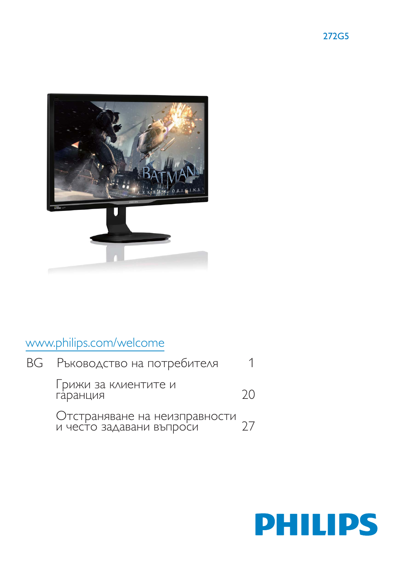



# www.philips.com/welcome

| ВG Ръководство на потребителя                                |    |
|--------------------------------------------------------------|----|
| Грижи за клиентите и<br>гаранция                             | 70 |
| Отстраняване на неизправности<br>и често задавани въпроси 27 |    |

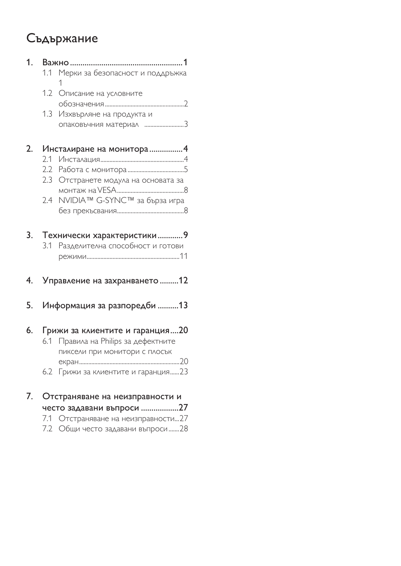# Съдържание

| 1. |         |                                      |
|----|---------|--------------------------------------|
|    | 1.1     | Мерки за безопасност и поддръжка     |
|    |         | 1                                    |
|    | 1.2     | Описание на условните                |
|    |         |                                      |
|    | 1.3     | Изхвърляне на продукта и             |
|    |         |                                      |
| 2. |         | Инсталиране на монитора4             |
|    | 2.1     |                                      |
|    |         |                                      |
|    | $2.3 -$ | Отстранете модула на основата за     |
|    |         |                                      |
|    | 2.4     | NVIDIA™ G-SYNC™ за бърза игра        |
|    |         |                                      |
| 3. |         | Технически характеристики 9          |
|    |         | 3.1 Разделителна способност и готови |
|    |         |                                      |
| 4. |         | Управление на захранването 12        |
| 5. |         | Информация за разпоредби 13          |
| 6. |         | Грижи за клиентите и гаранция20      |
|    | 6.1     | Правила на Philips за дефектните     |
|    |         | пиксели при монитори с плосък        |
|    |         |                                      |
|    |         | 6.2 Грижи за клиентите и гаранция23  |
| 7. |         | Отстраняване на неизправности и      |
|    |         | често задавани въпроси 27            |
|    | 7.1     | Отстраняване на неизправности27      |

7.1 Отстраняване на неизправности....27<br>7.2 Общи често задавани въпроси........28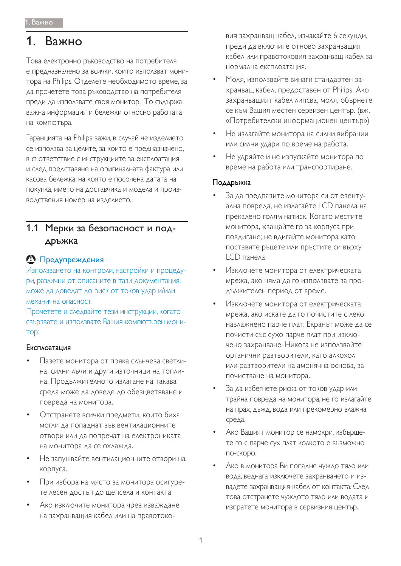## 1. Важно

Това електронно ръководство на потребителя е предназначено за всички, които използват монитора на Philips. Отделете необходимото време, за да прочетете това ръководство на потребителя преди да използвате своя монитор. То съдържа важна информация и бележки относно работата на компютъра.

Гаранцията на Philips важи, в случай че изделието се използва за целите, за които е предназначено, в съответствие с инструкциите за експлоатация и след представяне на оригиналната фактура или касова бележка, на която е посочена датата на покупка, името на доставчика и модела и производствения номер на изделието.

### 1.1 Мерки за безопасност и поддръжка

### **<sup>1</sup>** Предупреждения

Използването на контроли, настройки и процедури, различни от описаните в тази документация, може да доведат до риск от токов удар и/или механична опасност.

Прочетете и следвайте тези инструкции, когато свързвате и използвате Вашия компютърен мони-TOD:

#### **Експлоатация**

- Пазете монитора от пряка слънчева светлина, силни лъчи и други източници на топлина. Продължителното излагане на такава среда може да доведе до обезцветяване и повреда на монитора.
- Отстранете всички предмети, които биха могли да попаднат във вентилационните отвори или да попречат на електрониката на монитора да се охлажда.
- Не запушвайте вентилационните отвори на корпуса.
- При избора на място за монитора осигурете лесен достъп до щепсела и контакта.
- Ако изключите монитора чрез изваждане на захранващия кабел или на правотоко-

вия захранващ кабел, изчакайте 6 секунди, преди да включите отново захранващия кабел или правотоковия захранващ кабел за нормална експлоатация.

- Моля, използвайте винаги стандартен захранващ кабел, предоставен от Philips. Ако захранващият кабел липсва, моля, обърнете се към Вашия местен сервизен център. (вж. «Потребителски информационен център»)
- Не излагайте монитора на силни вибрации или силни удари по време на работа.
- Не удряйте и не изпускайте монитора по време на работа или транспортиране.

#### Поддръжка

- За да предпазите монитора си от евентуална повреда, не излагайте LCD панела на прекалено голям натиск. Когато местите монитора, хващайте го за корпуса при повдигане; не вдигайте монитора като поставяте ръцете или пръстите си върху LCD панела.
- Изключете монитора от електрическата мрежа, ако няма да го използвате за про-ДЪЛЖИТЕЛЕН ПЕРИОД ОТ ВРЕМЕ.
- Изключете монитора от електрическата мрежа, ако искате да го почистите с леко навлажнено парче плат. Екранът може да се почисти със сухо парче плат при изключено захранване. Никога не използвайте органични разтворители, като алкохол или разтворители на амонячна основа, за почистване на монитора.
- За да избегнете риска от токов удар или трайна повреда на монитора, не го излагайте на прах, дъжд, вода или прекомерно влажна среда.
- Ако Вашият монитор се намокри, избършете го с парче сух плат колкото е възможно по-скоро.
- Ако в монитора Ви попадне чуждо тяло или вода, веднага изключете захранването и извадете захранващия кабел от контакта. След това отстранете чуждото тяло или водата и изпратете монитора в сервизния център.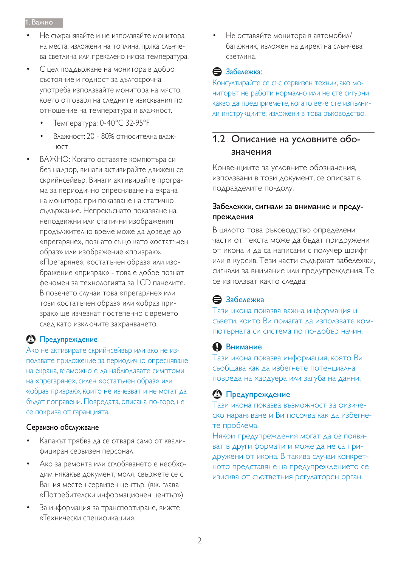- Не съхранявайте и не използвайте монитора На места, изложени на топлина, пряка слънчева светлина или прекалено ниска температура.
- С цел поддържане на монитора в добро СЪСТОЯНИЕ И ГОДНОСТ ЗА ДЪЛГОСРОЧНА употреба използвайте монитора на място, КО СТГОВАРЯ НА СЛЕДНИТЕ ИЗИСКВАНИЯ ПО отношение на температура и влажност.
	- Температура: 0-40°С 32-95°F
	- Влажност: 20 80% относителна влаж-HOCT
- ВАЖНО: Когато оставяте компютъра си без надзор, винаги активирайте движещ се скрийнсейвър. Винаги активирайте програма за периодично опресняване на екрана на монитора при показване на статично съдържание. Непрекъснато показване на неподвижни или статични изображения ПРОДЪЛЖИТЕЛНО ВРЕМЕ МОЖЕ ДА ДОВЕДЕ ДО «прегаряне», познато също като «остатъчен образ» или изображение «призрак». «Прегаряне», «остатъчен образ» или изображение «призрак» - това е добре познат феномен за технологията за LCD панелите. В повечето случаи това «прегаряне» или този «остатъчен образ» или «образ призрак» ще изчезнат постепенно с времето след като изключите захранването.

### 1 Предупреждение

Ако не активирате скрийнсейвър или ако не използвате приложение за периодично опресняване на екрана, възможно е да наблюдавате симптоми на «прегаряне», силен «остатъчен образ» или «образ призрак», които не изчезват и не могат да бъдат поправени. Повредата, описана по-горе, не се покрива от гаранцията.

#### Сервизно обслужване

- Капакът трябва да се отваря само от квалифициран сервизен персонал.
- Ако за ремонта или сглобяването е необходим някакъв документ, моля, свържете се с Вашия местен сервизен център. (вж. глава «Потребителски информационен център»)
- За информация за транспортиране, вижте «Технически спецификации».

Не оставяйте монитора в автомобил/ багажник, изложен на директна слънчева СВЕТЛИНА.

### **В** Забележка:

Консултирайте се със сервизен техник, ако мониторът не работи нормално или не сте сигурни Какво да предприемете, когато вече сте изпълни-ЛИ ИНСТРУКЦИИТЕ, ИЗЛОЖЕНИ В ТОВА РЪКОВОДСТВО.

### 1.2 Описание на условните обозначения

Конвенциите за условните обозначения, използвани в този документ, се описват в подразделите по-долу.

### Забележки, сигнали за внимание и предупреждения

В цялото това ръководство определени части от текста може да бъдат придружени от икона и да са написани с получер шрифт или в курсив. Тези части съдържат забележки, сигнали за внимание или предупреждения. Те се използват както следва:

### В Забележка

Тази икона показва важна информация и съвети, които Ви помагат да използвате компютърната си система по по-добър начин.

### **O**BHUMAHUE

Тази икона показва информация, която Ви съобщава как да избегнете потенциална повреда на хардуера или загуба на данни.

### **<sup>1</sup>** Предупреждение

Тази икона показва възможност за физическо нараняване и Ви посочва как да избегнете проблема.

Някои предупреждения могат да се появяват в други формати и може да не са придружени от икона. В такива случаи конкретното представяне на предупреждението се изисква от съответния регулаторен орган.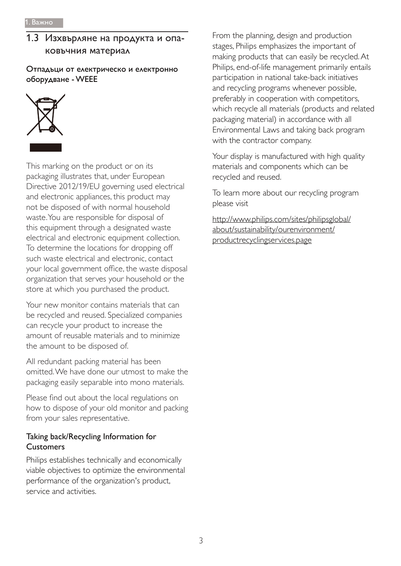### 1.3 Изхвърляне на продукта и опаковъчния материал

Отпадъци от електрическо и електронно оборудване - WEEE



This marking on the product or on its packaging illustrates that, under European Directive 2012/19/EU governing used electrical and electronic appliances, this product may not be disposed of with normal household waste. You are responsible for disposal of this equipment through a designated waste electrical and electronic equipment collection. To determine the locations for dropping off such waste electrical and electronic, contact your local government office, the waste disposal organization that serves your household or the store at which you purchased the product.

Your new monitor contains materials that can be recycled and reused. Specialized companies can recycle your product to increase the amount of reusable materials and to minimize the amount to be disposed of.

All redundant packing material has been omitted. We have done our utmost to make the packaging easily separable into mono materials.

Please find out about the local regulations on how to dispose of your old monitor and packing from your sales representative.

### Taking back/Recycling Information for **Customers**

Philips establishes technically and economically viable objectives to optimize the environmental performance of the organization's product, service and activities

From the planning, design and production stages, Philips emphasizes the important of making products that can easily be recycled. At Philips, end-of-life management primarily entails participation in national take-back initiatives and recycling programs whenever possible, preferably in cooperation with competitors, which recycle all materials (products and related packaging material) in accordance with all Environmental Laws and taking back program with the contractor company.

Your display is manufactured with high quality materials and components which can be recycled and reused.

To learn more about our recycling program please visit

http://www.philips.com/sites/philipsglobal/ about/sustainability/ourenvironment/ productrecyclingservices.page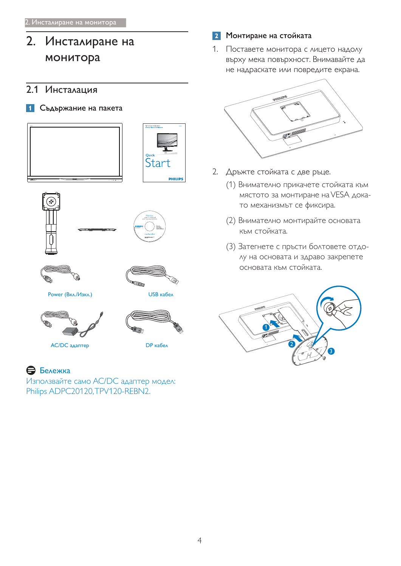2. Инсталиране на монитора

### 2.1 Инсталация

#### 1 Съдържание на пакета













Power (Вкл./Изкл.) У Вабел



 $AC/DC$ адаптер ДР кабел



### В Бележка

Използвайте само AC/DC адаптер модел: Philips ADPC20120, TPV120-REBN2.

### **2** Монтиране на стойката

1. Поставете монитора с лицето надолу върху мека повърхност. Внимавайте да не надраскате или повредите екрана.



- 2. Дръжте стойката с две ръце.
	- (1) Внимателно прикачете стойката към мястото за монтиране на VESA докато механизмът се фиксира.
	- (2) Внимателно монтирайте основата към стойката.
	- (3) Затегнете с пръсти болтовете отдолу на основата и здраво закрепете основата към стойката.

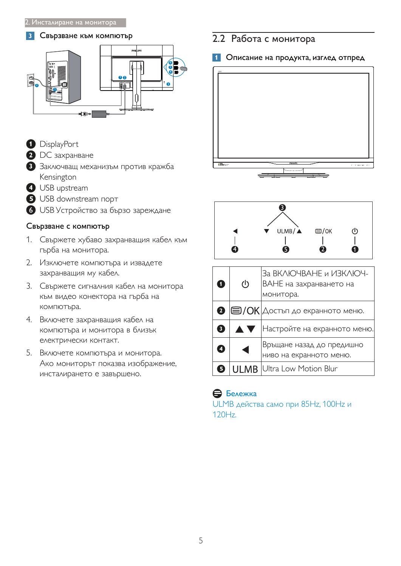#### 3 Свързване към компютър



- <sup>1</sup>DisplayPort
- <sup>2</sup> DC захранване
- В Заключващ механизъм против кражба Kensington
- **4** USB upstream
- **5** USB downstream nopt
- 6 USB Устройство за бързо зареждане

### Свързване с компютър

- 1. Свържете хубаво захранващия кабел към гърба на монитора.
- 2. Изключете компютъра и извадете захранващия му кабел.
- 3. Свържете сигналния кабел на монитора към видео конектора на гърба на компютъра.
- 4. Включете захранващия кабел на компютъра и монитора в близък електрически контакт.
- 5. Включете компютъра и монитора. Ако мониторът показва изображение, инсталирането е завършено.

## 2.2 Работа с монитора

1 Описание на продукта, изглед отпред





| O | $\mathcal{L}$        | За ВКЛЮЧВАНЕ и ИЗКЛЮЧ-<br>ВАНЕ на захранването на<br>монитора. |
|---|----------------------|----------------------------------------------------------------|
|   |                      | $\bullet$ $\Box$ / OK Достъп до екранното меню.                |
| 8 | <b>AV</b>            | Настройте на екранното меню.                                   |
| Ø | $\blacktriangleleft$ | Връщане назад до предишно<br>ниво на екранното меню.           |
| 5 |                      | <b>ULMB</b> Ultra Low Motion Blur                              |

### В Бележка

ULMB действа само при 85Hz, 100Hz и  $120Hz$ .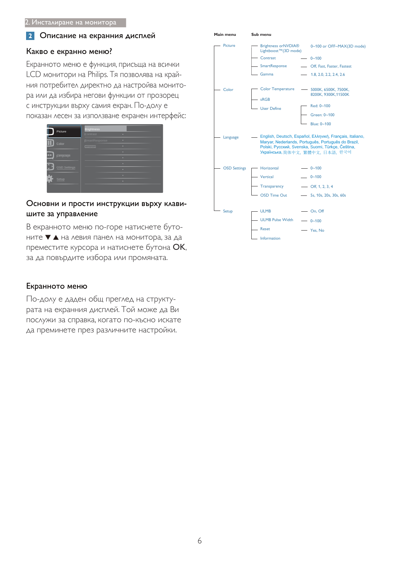#### $|2|$ Описание на екранния дисплей

#### Какво е екранно меню?

Екранното меню е функция, присъща на всички LCD монитори на Philips. Тя позволява на крайния потребител директно да настройва монитора или да избира негови функции от прозорец с инструкции върху самия екран. По-долу е показан лесен за използване екранен интерфейс:

| Picture             | <b>Brightness</b><br>Contrast<br>٠ |
|---------------------|------------------------------------|
| Color               | SmartResponse<br>ь<br>۰<br>Gamma   |
| <br>Language        | ۰<br>×                             |
| <b>OSD Settings</b> | ٠<br>ь                             |
| Setup               | ò.<br>×                            |
|                     |                                    |

#### Основни и прости инструкции върху клавишите за управление

В екранното меню по-горе натиснете бутоните ▼ ▲ на левия панел на монитора, за да преместите курсора и натиснете бутона ОК, за да повърдите избора или промяната.

#### Екранното меню

По-долу е даден общ преглед на структурата на екранния дисплей. Той може да Ви послужи за справка, когато по-късно искате да преминете през различните настройки.

| ган ненч            | əup menu                                               |                                                                                                                                                                                                            |
|---------------------|--------------------------------------------------------|------------------------------------------------------------------------------------------------------------------------------------------------------------------------------------------------------------|
| <b>Picture</b>      | Brightness or NVDIA®<br>Lightboost™(3D mode)           | 0~100 or OFF~MAX(3D mode)                                                                                                                                                                                  |
|                     | Contrast                                               | $- 0 - 100$                                                                                                                                                                                                |
|                     | - SmartResponse                                        | - Off, Fast, Faster, Fastest                                                                                                                                                                               |
|                     | Gamma                                                  | $- 1.8, 2.0, 2.2, 2.4, 2.6$                                                                                                                                                                                |
| Color               | <b>Color Temperature</b><br>sRGB<br><b>User Define</b> | - 5000K, 6500K, 7500K,<br>8200K, 9300K, 11500K<br>Red: 0~100<br>Green: 0~100<br>Blue: 0~100                                                                                                                |
| Language            |                                                        | - English, Deutsch, Español, Ελληνική, Français, Italiano,<br>Maryar, Nederlands, Português, Português do Brazil,<br>Polski, Русский, Svenska, Suomi, Türkçe, Čeština,<br>Українська, 简体中文, 繁體中文, 日本語, 한국어 |
| <b>OSD Settings</b> | - Horizontal<br>Vertical                               | $- 0 - 100$<br>$- 0 - 100$                                                                                                                                                                                 |
|                     |                                                        |                                                                                                                                                                                                            |
|                     | Transparency                                           | $-$ Off, 1, 2, 3, 4                                                                                                                                                                                        |
|                     | <b>OSD Time Out</b>                                    | $-$ 5s, 10s, 20s, 30s, 60s                                                                                                                                                                                 |
| Setup               | <b>ULMB</b><br><b>ULMB Pulse Width</b>                 | $-$ On, Off<br>$- 0 - 100$                                                                                                                                                                                 |
|                     | - Reset                                                | - Yes, No                                                                                                                                                                                                  |
|                     | Information                                            |                                                                                                                                                                                                            |

**Main menu Sub menu**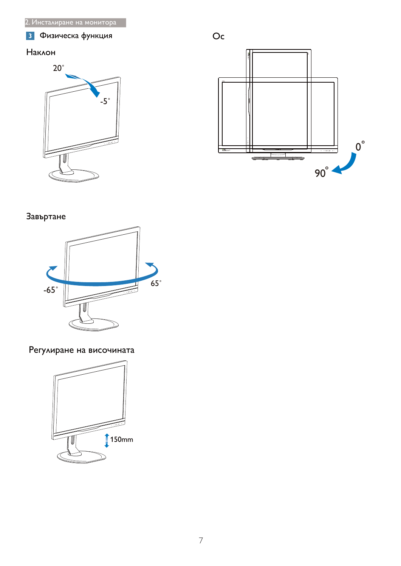#### Физическа функция  $\overline{\mathbf{3}}$

### Наклон





### Завъртане



Регулиране на височината

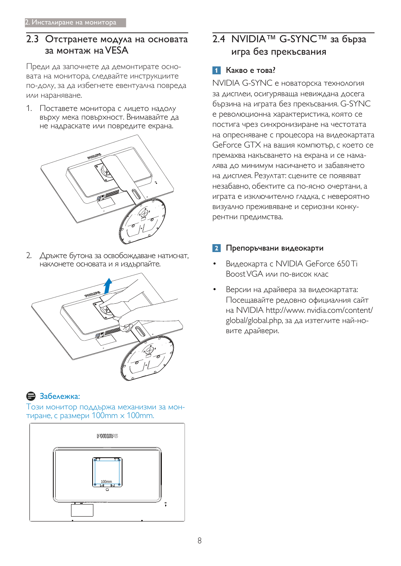### 2.3 Отстранете модула на основата за монтаж на VESA

Преди да започнете да демонтирате основата на монитора, следвайте инструкциите по-долу, за да избегнете евентуална повреда или нараняване.

1. Поставете монитора с лицето надолу върху мека повърхност. Внимавайте да не надраскате или повредите екрана.



2. Дръжте бутона за освобождаване натиснат, наклонете основата и я издърпайте.



### Э Забележка:

Този монитор поддържа механизми за монтиране, с размери  $100$ mm  $\times$   $100$ mm.



### 2.4 NVIDIA™ G-SYNC™ за бърза игра без прекъсвания

### 1 Какво е това?

NVIDIA G-SYNC е новаторска технология за дисплеи, осигуряваща невиждана досега бързина на играта без прекъсвания. G-SYNC е революционна характеристика, която се постига чрез синхронизиране на честотата на опресняване с процесора на видеокартата GeForce GTX на вашия компютър, с което се премахва накъсването на екрана и се намалява до минимум насичането и забавянето на дисплея. Резултат: сцените се появяват незабавно, обектите са по-ясно очертани, а играта е изключително гладка, с невероятно визуално преживяване и сериозни конкурентни предимства.

### Препоръчвани видеокарти

- Видеокарта с NVIDIA GeForce 650Ti Boost VGA или по-висок клас
- Версии на драйвера за видеокартата: Посещавайте редовно официалния сайт на NVIDIA http://www.nvidia.com/content/ global/global.php, за да изтеглите най-новите драйвери.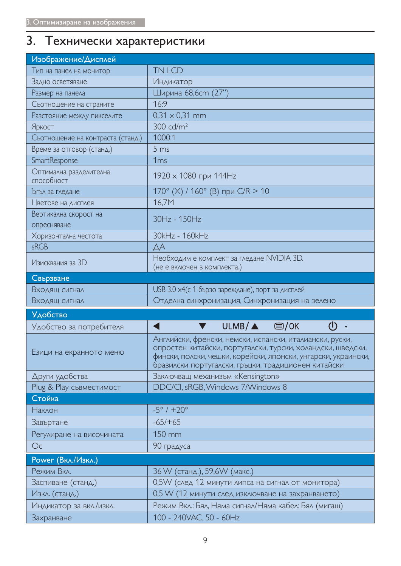# 3. Технически характеристики

| Изображение/Дисплей                  |                                                                                                                                                                                                                                                  |
|--------------------------------------|--------------------------------------------------------------------------------------------------------------------------------------------------------------------------------------------------------------------------------------------------|
| Тип на панел на монитор              | TN LCD                                                                                                                                                                                                                                           |
| Задно осветяване                     | Индикатор                                                                                                                                                                                                                                        |
| Размер на панела                     | Ширина 68,6ст (27")                                                                                                                                                                                                                              |
| Съотношение на страните              | 16:9                                                                                                                                                                                                                                             |
| Разстояние между пикселите           | $0,31 \times 0,31 \text{ mm}$                                                                                                                                                                                                                    |
| Яркост                               | $300 \text{ cd/m}^2$                                                                                                                                                                                                                             |
| Съотношение на контраста (станд.)    | 1000:1                                                                                                                                                                                                                                           |
| Време за отговор (станд.)            | 5 <sub>ms</sub>                                                                                                                                                                                                                                  |
| SmartResponse                        | 1 <sub>ms</sub>                                                                                                                                                                                                                                  |
| Оптимална разделителна<br>способност | 1920 x 1080 при 144Hz                                                                                                                                                                                                                            |
| Ъгъл за гледане                      | 170° (X) / 160° (В) при С/R > 10                                                                                                                                                                                                                 |
| Цветове на дисплея                   | 16,7M                                                                                                                                                                                                                                            |
| Вертикална скорост на<br>опресняване | 30Hz - 150Hz                                                                                                                                                                                                                                     |
| Хоризонтална честота                 | 30kHz - 160kHz                                                                                                                                                                                                                                   |
| sRGB                                 | ДA                                                                                                                                                                                                                                               |
| Изисквания за 3D                     | Необходим е комплект за гледане NVIDIA 3D.<br>(не е включен в комплекта.)                                                                                                                                                                        |
| Свързване                            |                                                                                                                                                                                                                                                  |
|                                      |                                                                                                                                                                                                                                                  |
| Входящ сигнал                        | USB 3.0 x4(с 1 бързо зареждане), порт за дисплей                                                                                                                                                                                                 |
| Входящ сигнал                        | Отделна синхронизация, Синхронизация на зелено                                                                                                                                                                                                   |
| <b>Удобство</b>                      |                                                                                                                                                                                                                                                  |
| Удобство за потребителя              | $\mathcal{L}$<br>$ULMB/\triangle$ $\Box$ /OK<br>$\circ$                                                                                                                                                                                          |
| Езици на екранното меню              | Английски, френски, немски, испански, италиански, руски,<br>опростен китайски, португалски, турски, холандски, шведски,<br>фински, полски, чешки, корейски, японски, унгарски, украински,<br>бразилски португалски, гръцки, традиционен китайски |
| Други удобства                       | Заключващ механизъм «Kensington»                                                                                                                                                                                                                 |
| Plug & Play съвместимост             | DDC/CI, sRGB, Windows 7/Windows 8                                                                                                                                                                                                                |
| Стойка                               |                                                                                                                                                                                                                                                  |
| <b>Наклон</b>                        | $-5^{\circ}$ / $+20^{\circ}$                                                                                                                                                                                                                     |
| Завъртане                            | $-65/+65$                                                                                                                                                                                                                                        |
| Регулиране на височината             | 150 mm                                                                                                                                                                                                                                           |
| Oc                                   | 90 градуса                                                                                                                                                                                                                                       |
| Power (Вкл./Изкл.)                   |                                                                                                                                                                                                                                                  |
| Режим Вкл.                           | 36 W (станд.), 59,6W (макс.)                                                                                                                                                                                                                     |
| Заспиване (станд.)                   | 0,5W (след 12 минути липса на сигнал от монитора)                                                                                                                                                                                                |
| Изкл. (станд.)                       | 0,5 W (12 минути след изключване на захранването)                                                                                                                                                                                                |
| Индикатор за вкл./изкл.              | Режим Вкл.: Бял, Няма сигнал/Няма кабел: Бял (мигащ)                                                                                                                                                                                             |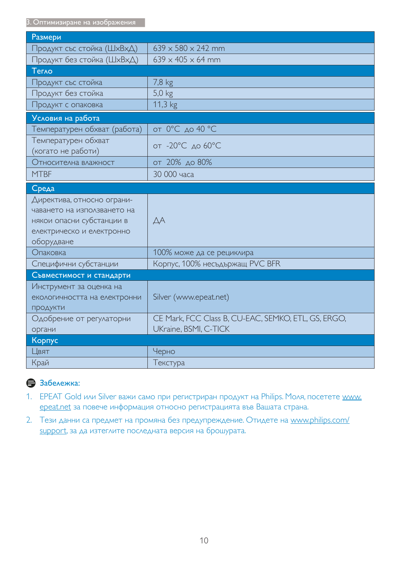3. Оптимизиране на изображения

| Размери                                   |                                                     |
|-------------------------------------------|-----------------------------------------------------|
| Продукт със стойка (ШхВхД)                | $639 \times 580 \times 242$ mm                      |
| Продукт без стойка (ШхВхД)                | $639 \times 405 \times 64$ mm                       |
| Tervo                                     |                                                     |
| Продукт със стойка                        | 7,8 kg                                              |
| Продукт без стойка                        | $5,0$ kg                                            |
| Продукт с опаковка                        | 11,3 kg                                             |
| Условия на работа                         |                                                     |
| Температурен обхват (работа)              | от 0°С до 40 °С                                     |
| Температурен обхват<br>(когато не работи) | от -20°С до 60°С                                    |
| Относителна влажност                      | от 20% до 80%                                       |
| <b>MTBF</b>                               | 30 000 часа                                         |
| Среда                                     |                                                     |
| Директива, относно ограни-                |                                                     |
| чаването на използването на               |                                                     |
| някои опасни субстанции в                 | $\Delta A$                                          |
| електрическо и електронно                 |                                                     |
| оборудване                                |                                                     |
| Опаковка                                  | 100% може да се рециклира                           |
| Специфични субстанции                     | Корпус, 100% несъдържащ PVC BFR                     |
| Съвместимост и стандарти                  |                                                     |
| Инструмент за оценка на                   |                                                     |
| екологичността на електронни              | Silver (www.epeat.net)                              |
| ПРОДУКТИ                                  |                                                     |
| Одобрение от регулаторни                  | CE Mark, FCC Class B, CU-EAC, SEMKO, ETL, GS, ERGO, |
| органи                                    | UKraine, BSMI, C-TICK                               |
| Корпус                                    |                                                     |
| Цвят                                      | Черно                                               |
| Край                                      | Текстура                                            |

### <del>В</del> Забележка:

- 1. EPEAT Gold или Silver важи само при регистриран продукт на Philips. Моля, посетете www. epeat.net за повече информация относно регистрацията във Вашата страна.
- 2. Тези данни са предмет на промяна без предупреждение. Отидете на www.philips.com/ support, за да изтеглите последната версия на брошурата.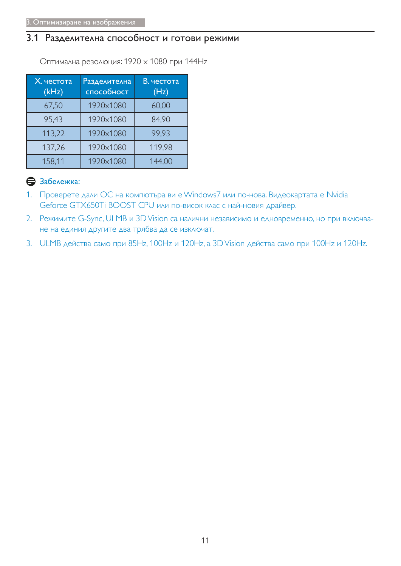### 3.1 Разделителна способност и готови режими

Оптимална резолюция: 1920 х 1080 при 144Hz

| Х. честота<br>(kHz) | <b>Разделителна</b><br>способност | В. честота<br>(Hz) |
|---------------------|-----------------------------------|--------------------|
| 67,50               | 1920×1080                         | 60,00              |
| 95,43               | 1920×1080                         | 84,90              |
| 113,22              | 1920×1080                         | 99,93              |
| 137,26              | 1920×1080                         | 119,98             |
| 158,11              | 1920×1080                         | 144,00             |

### В Забележка:

- 1. Проверете дали ОС на компютъра ви е Windows7 или по-нова. Видеокартата е Nvidia Geforce GTX650Ti BOOST CPU или по-висок клас с най-новия драйвер.
- 2. Режимите G-Sync, ULMB и 3D Vision са налични независимо и едновременно, но при включване на единия другите два трябва да се изключат.
- 3. ULMB действа само при 85Hz, 100Hz и 120Hz, а 3D Vision действа само при 100Hz и 120Hz.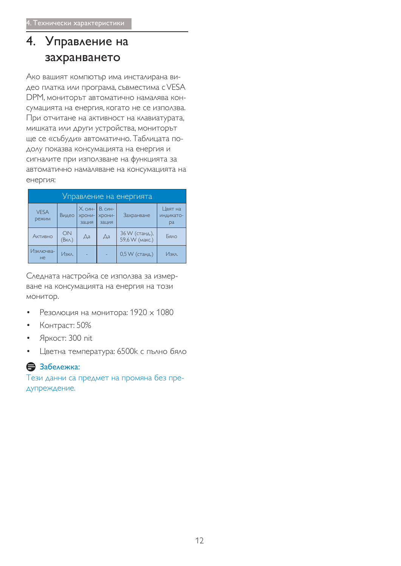# 4. Управление на захранването

Ако вашият компютър има инсталирана видео платка или програма, съвместима с VESA DPM, мониторът автоматично намалява консумацията на енергия, когато не се използва. При отчитане на активност на клавиатурата, мишката или други устройства, мониторът ще се «събуди» автоматично. Таблицата подолу показва консумацията на енергия и сигналите при използване на функцията за автоматично намаляване на консумацията на енергия:

| Управление на енергията |              |                            |                                   |                                  |                                   |  |
|-------------------------|--------------|----------------------------|-----------------------------------|----------------------------------|-----------------------------------|--|
| <b>VESA</b><br>режим    | Видео        | Х. син-<br>-NHOCK<br>зация | В. син-<br><b>XDOHИ-</b><br>зация | Захранване                       | Цвят на<br>ИНДИКАТО-<br><b>pa</b> |  |
| Активно                 | ON<br>(Вкл.) | $\Delta$ a                 | Дa                                | 36 W (станд.),<br>59,6 W (макс.) | Бяло                              |  |
| Изключва-<br><b>He</b>  | Изкл.        |                            |                                   | $0,5$ W (станд.)                 | Изкл.                             |  |

Следната настройка се използва за измерване на консумацията на енергия на този монитор.

- Резолюция на монитора:  $1920 \times 1080$
- Контраст: 50%
- Яркост: 300 nit
- Цветна температура: 6500k с пълно бяло

### В Забележка:

Тези данни са предмет на промяна без предупреждение.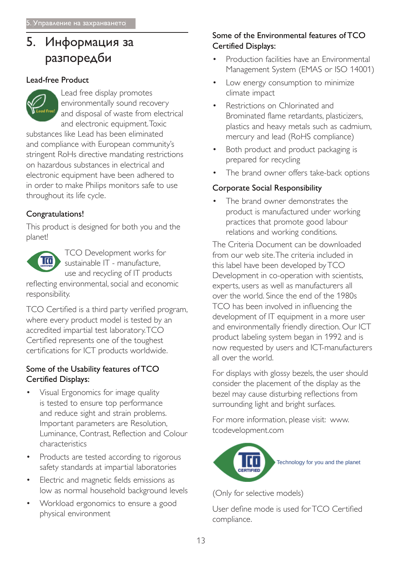# 5. Информация за разпоредби

#### Lead-free Product



Lead free display promotes environmentally sound recovery and disposal of waste from electrical and electronic equipment. Toxic

substances like Lead has been eliminated and compliance with European community's stringent RoHs directive mandating restrictions on hazardous substances in electrical and electronic equipment have been adhered to in order to make Philips monitors safe to use throughout its life cycle.

### Congratulations!

This product is designed for both you and the planet!



TCO Development works for sustainable IT - manufacture, use and recycling of IT products

reflecting environmental, social and economic responsibility.

TCO Certified is a third party verified program, where every product model is tested by an accredited impartial test laboratory.TCO Certified represents one of the toughest certifications for ICT products worldwide.

#### Some of the Usability features of TCO Certified Displays:

- Visual Ergonomics for image quality is tested to ensure top performance and reduce sight and strain problems. Important parameters are Resolution, Luminance, Contrast, Reflection and Colour characteristics
- Products are tested according to rigorous safety standards at impartial laboratories
- Electric and magnetic fields emissions as low as normal household background levels
- Workload ergonomics to ensure a good physical environment

### Some of the Environmental features of TCO Certified Displays:

- Production facilities have an Environmental Management System (EMAS or ISO 14001)
- Low energy consumption to minimize climate impact
- Restrictions on Chlorinated and Brominated flame retardants, plasticizers, plastics and heavy metals such as cadmium, mercury and lead (RoHS compliance)
- Both product and product packaging is prepared for recycling
- The brand owner offers take-back options

### Corporate Social Responsibility

 The brand owner demonstrates the product is manufactured under working practices that promote good labour relations and working conditions.

The Criteria Document can be downloaded from our web site. The criteria included in this label have been developed by TCO Development in co-operation with scientists, experts, users as well as manufacturers all over the world. Since the end of the 1980s TCO has been involved in influencing the development of IT equipment in a more user and environmentally friendly direction. Our ICT product labeling system began in 1992 and is now requested by users and ICT-manufacturers all over the world

For displays with glossy bezels, the user should consider the placement of the display as the bezel may cause disturbing reflections from surrounding light and bright surfaces.

For more information, please visit: www. tcodevelopment.com



(Only for selective models)

User define mode is used for TCO Certified compliance.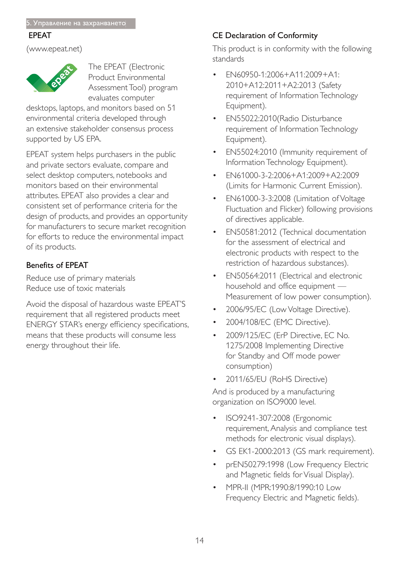#### EPEAT

www.epeat.net



The EPEAT (Electronic Product Environmental Assessment Tool) program evaluates computer

desktops, laptops, and monitors based on 51 environmental criteria developed through an extensive stakeholder consensus process supported by US EPA.

EPEAT system helps purchasers in the public and private sectors evaluate, compare and select desktop computers, notebooks and monitors based on their environmental attributes. EPEAT also provides a clear and consistent set of performance criteria for the design of products, and provides an opportunity for manufacturers to secure market recognition for efforts to reduce the environmental impact of its products.

### Benefits of EPEAT

Reduce use of primary materials Reduce use of toxic materials

Avoid the disposal of hazardous waste EPEAT'S requirement that all registered products meet ENERGY STAR's energy efficiency specifications, means that these products will consume less energy throughout their life.

### CE Declaration of Conformity

This product is in conformity with the following standards

- EN60950-1:2006+A11:2009+A1: 2010+A12:2011+A2:2013 (Safety requirement of Information Technology Equipment).
- EN55022:2010(Radio Disturbance requirement of Information Technology Equipment).
- EN55024:2010 (Immunity requirement of Information Technology Equipment).
- EN61000-3-2:2006+A1:2009+A2:2009 (Limits for Harmonic Current Emission).
- EN61000-3-3:2008 (Limitation of Voltage Fluctuation and Flicker) following provisions of directives applicable.
- EN50581:2012 (Technical documentation for the assessment of electrical and electronic products with respect to the restriction of hazardous substances).
- EN50564:2011 (Electrical and electronic household and office equipment — Measurement of low power consumption).
- 2006/95/EC (Low Voltage Directive).
- 2004/108/EC (EMC Directive).
- 2009/125/EC (ErP Directive, EC No. 1275/2008 Implementing Directive for Standby and Off mode power consumption)
- 2011/65/EU (RoHS Directive)

And is produced by a manufacturing organization on ISO9000 level.

- ISO9241-307:2008 (Ergonomic requirement, Analysis and compliance test methods for electronic visual displays).
- GS EK1-2000:2013 (GS mark requirement).
- prEN50279:1998 (Low Frequency Electric and Magnetic fields for Visual Display).
- MPR-II (MPR:1990:8/1990:10 Low Frequency Electric and Magnetic fields).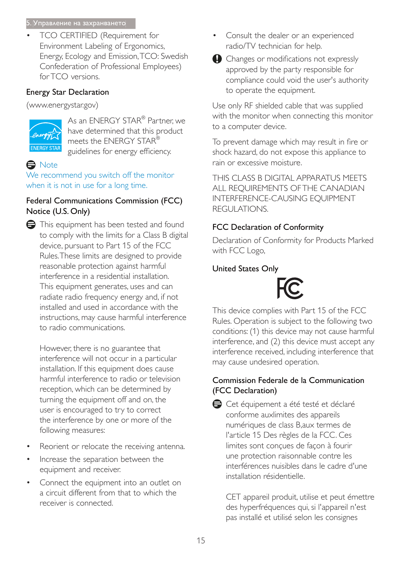#### 5. Управление на захранването

TCO CERTIFIED (Requirement for Environment Labeling of Ergonomics, Energy, Ecology and Emission, TCO: Swedish Confederation of Professional Employees) for TCO versions.

### Energy Star Declaration

(www.energystar.gov)



As an ENERGY STAR® Partner, we have determined that this product meets the ENERGY STAR® guidelines for energy efficiency.

### **e** Note

We recommend you switch off the monitor when it is not in use for a long time.

### Federal Communications Commission (FCC) Notice (U.S. Only)



However, there is no guarantee that interference will not occur in a particular installation. If this equipment does cause harmful interference to radio or television reception, which can be determined by turning the equipment off and on, the user is encouraged to try to correct the interference by one or more of the following measures:

- Reorient or relocate the receiving antenna.
- Increase the separation between the equipment and receiver.
- Connect the equipment into an outlet on a circuit different from that to which the receiver is connected.
- Consult the dealer or an experienced radio/TV technician for help.
- $\bigcirc$  Changes or modifications not expressly approved by the party responsible for compliance could void the user's authority to operate the equipment.

Use only RF shielded cable that was supplied with the monitor when connecting this monitor to a computer device.

To prevent damage which may result in fire or shock hazard, do not expose this appliance to rain or excessive moisture.

THIS CLASS B DIGITAL APPARATUS MEETS ALL REQUIREMENTS OF THE CANADIAN INTERFERENCE-CAUSING EQUIPMENT REGULATIONS.

### FCC Declaration of Conformity

Declaration of Conformity for Products Marked with FCC Logo,

### United States Only



This device complies with Part 15 of the FCC Rules. Operation is subject to the following two conditions: (1) this device may not cause harmful interference, and (2) this device must accept any interference received, including interference that may cause undesired operation.

### Commission Federale de la Communication (FCC Declaration)

Cet équipement a été testé et déclaré conforme auxlimites des appareils numériques de class B, aux termes de l'article 15 Des règles de la FCC. Ces limites sont conçues de façon à fourir une protection raisonnable contre les interférences nuisibles dans le cadre d'une installation résidentielle.

CET appareil produit, utilise et peut émettre des hyperfréquences qui, si l'appareil n'est pas installé et utilisé selon les consignes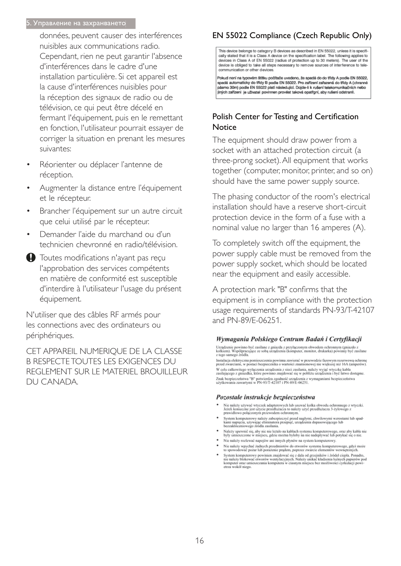#### 5. Управление на захранването

données, peuvent causer des interférences nuisibles aux communications radio. Cependant, rien ne peut garantir l'absence d'interférences dans le cadre d'une installation particulière. Si cet appareil est la cause d'interférences nuisibles pour la réception des signaux de radio ou de télévision, ce qui peut être décelé en fermant l'équipement, puis en le remettant en fonction, l'utilisateur pourrait essayer de corriger la situation en prenant les mesures suivantes:

- Réorienter ou déplacer l'antenne de réception.
- Augmenter la distance entre l'équipement et le récepteur.
- Brancher l'équipement sur un autre circuit que celui utilisé par le récepteur.
- Demander l'aide du marchand ou d'un technicien chevronné en radio/télévision.
- Toutes modifications n'ayant pas reçu l'approbation des services compétents en matière de conformité est susceptible d'interdire à l'utilisateur l'usage du présent équipement.

N'utiliser que des câbles RF armés pour les connections avec des ordinateurs ou périphériques.

CET APPAREIL NUMERIOUE DE LA CLASSE **B RESPECTE TOUTES LES EXIGENCES DU** REGLEMENT SUR LE MATERIEL BROUILLEUR DU CANADA.

### EN 55022 Compliance (Czech Republic Only)

This device belongs to category B devices as described in EN 55022, unless it is specifically stated that it is a Class A device on the specification label. The following applies to devices in Class A of EN 55022 (radius of protection up to 30 meters). The user of the device is obliged to take all steps necessary to remove sources of interference to telecommunication or other devices

Pokud není na typovém štítku počítače uvedeno, že spadá do do třídy A podle EN 55022, spadá automaticky do třídy B podle EN 55022. Pro zařízení zařazená do třídy A (chranné násmo 30m) podle EN 55022 platí následulící. Dolde-li k rušení telekomunikačních nebo jiných zařízení je uživatel povinnen provést taková opatřgní, aby rušení odstranil.

#### Polish Center for Testing and Certification Notice

The equipment should draw power from a socket with an attached protection circuit (a three-prong socket). All equipment that works together (computer, monitor, printer, and so on) should have the same power supply source.

The phasing conductor of the room's electrical installation should have a reserve short-circuit protection device in the form of a fuse with a nominal value no larger than 16 amperes (A).

To completely switch off the equipment, the power supply cable must be removed from the power supply socket, which should be located near the equipment and easily accessible.

A protection mark "B" confirms that the equipment is in compliance with the protection usage requirements of standards PN-93/T-42107 and PN-89/F-06251.

#### Wymagania Polskiego Centrum Badań i Certyfikacji

Urządzenie powinno być zasiłane z gniazda z przyłączonym obwodem ochronnym (gniazdo z kołkiem). Współpracujące ze sobą urządzenia (komputer, monitor, drukarka) powinny być zasiłane z tego samego źródła.

Instalacja elektryczna pomieszczenia powinna zawierać w przewodzie fazowym rezerwową ochronę<br>przed zwarciami, w postaci bezpiecznika o wartości znamionowej nie większej niż 16A (amperów). .<br>W celu całkowitego wyłączenia urządzenia z sieci zasilania, należy wyjąć wtyczkę kabla<br>zasilającego z gniazdka, które powinno znajdować się w pobliżu urządzenia i być łatwo dostępne. Znak bezpieczeństwa "B" potwierdza zgodność urządzenia z wymaganiami bezpieczeństwa użytkowania zawartymi w PN-93/T-42107 i PN-89/E-06251.

#### Pozostałe instrukcje bezpieczeństwa

- Nie należy używać wtyczek adapterowych lub usuwać kołka obwodu ochronnego z wtyczki.<br>Jeżeli konieczne jest użycie przedłużacza to należy użyć przedłużacza 3-żyłowego z<br>prawidłowo połączonym przewodem ochronnym.
- $\,$ System komputerowy należy zabezpieczyć przed nagłymi, chwilowymi wzrokami napięcia, używając eliminatora przepięć, urządzenia dopasowującego lubezzakł<br><br/>óceniowego źródła zasilania. tami lub spadvymi wzrost<br>ującego lub
- Należy upewnić się, aby nic nie leżało na kabłach systemu komputerowego, oraz aby kabłe nie<br>były umieszczone w miejscu, gdzie można byłoby na nie nadeptywać lub potykać się o nie.
- Nie należy rozlewać napojów ani innych płynów na system komputerowy.
- 
- Nie należy wpychać zadnych mu umycu prynow na zystem Komputerowy.<br>Nie należy wpychać żadnych przedmiotów do stworów systemu komputerowego, gdyż może to spowodować pożar lub porażenie prądem, poprzez zwarcie elementów wewn rów pod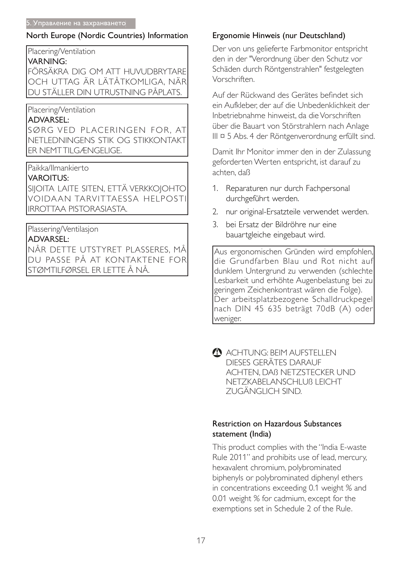### North Europe (Nordic Countries) Information

### Placering/Ventilation

### **VARNING:**

FÖRSÄKRA DIG OM ATT HUVUDBRYTARE OCH UTTAG ÄR LÄTÅTKOMLIGA. NÄR DU STÄLLER DIN UTRUSTNING PÅPLATS.

### Placering/Ventilation

### **ADVARSEL:**

SØRG VED PLACERINGEN FOR. AT NETLEDNINGENS STIK OG STIKKONTAKT **ER NEMTTILGÆNGELIGE.** 

### Paikka/Ilmankierto

### **VAROITUS:**

SIJOITA LAITE SITEN, ETTÄ VERKKOJOHTO VOIDAAN TARVITTAESSA HELPOSTI **IRROTTAA PISTORASIASTA.** 

### Plassering/Ventilasjon

### **ADVARSEL:**

NÅR DETTE UTSTYRET PLASSERES, MÅ DU PASSE PÅ AT KONTAKTENE FOR |STØMTILFØRSEL ER LETTE Å NÅ.

### Ergonomie Hinweis (nur Deutschland)

Der von uns gelieferte Farbmonitor entspricht den in der "Verordnung über den Schutz vor Schäden durch Röntgenstrahlen" festgelegten Vorschriften

Auf der Rückwand des Gerätes befindet sich ein Aufkleber, der auf die Unbedenklichkeit der Inbetriebnahme hinweist, da die Vorschriften über die Bauart von Störstrahlern nach Anlage III ¤ 5 Abs. 4 der Röntgenverordnung erfüllt sind.

Damit Ihr Monitor immer den in der Zulassung geforderten Werten entspricht, ist darauf zu achten, daß

- 1. Reparaturen nur durch Fachpersonal durchgeführt werden.
- 2. nur original-Ersatzteile verwendet werden.
- 3. bei Ersatz der Bildröhre nur eine bauartgleiche eingebaut wird.

Aus ergonomischen Gründen wird empfohlen, die Grundfarben Blau und Rot nicht auf dunklem Untergrund zu verwenden (schlechte Lesbarkeit und erhöhte Augenbelastung bei zu geringem Zeichenkontrast wären die Folge). Der arbeitsplatzbezogene Schalldruckpegel nach DIN 45 635 beträgt 70dB (A) oder weniger.

ACHTUNG: BEIM AUFSTELLEN DIESES GERÄTES DARAUF ACHTEN. DAB NETZSTECKER UND NETZKABELANSCHLUB LEICHT ZUGÄNGLICH SIND.

### **Restriction on Hazardous Substances** statement (India)

This product complies with the "India E-waste Rule 2011" and prohibits use of lead, mercury, hexavalent chromium, polybrominated biphenyls or polybrominated diphenyl ethers in concentrations exceeding 0.1 weight % and 0.01 weight % for cadmium, except for the exemptions set in Schedule 2 of the Rule.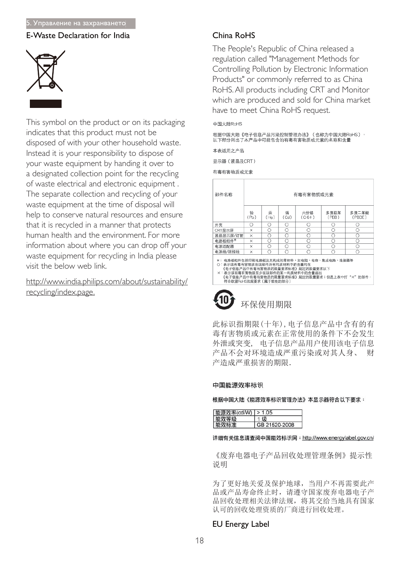#### <u>5. Управление на захранването</u>

#### E-Waste Declaration for India



This symbol on the product or on its packaging indicates that this product must not be disposed of with your other household waste. Instead it is your responsibility to dispose of your waste equipment by handing it over to a designated collection point for the recycling of waste electrical and electronic equipment . The separate collection and recycling of your waste equipment at the time of disposal will help to conserve natural resources and ensure that it is recycled in a manner that protects human health and the environment. For more information about where you can drop off your waste equipment for recycling in India please visit the below web link.

http://www.india.philips.com/about/sustainability/ recycling/index.page.

#### $China$   $Ro$ HS

The People's Republic of China released a regulation called "Management Methods for Controlling Pollution by Electronic Information Products" or commonly referred to as China RoHS. All products including CRT and Monitor which are produced and sold for China market have to meet China RoHS request.

#### 中国大陆RoHS

根据中国大陆《电子信息产品污染控制管理办法》(也称为中国大陆RoHS), 以下部分列出了本产品中可能包含的有毒有害物质或元素的名称和含量

本表适用之产品

显示器(液晶及CRT)

有毒有害物质或元素

| 部件名称                                                                                                                                                                                                                 | 有毒有害物质或元素 |           |           |                 |               |                 |
|----------------------------------------------------------------------------------------------------------------------------------------------------------------------------------------------------------------------|-----------|-----------|-----------|-----------------|---------------|-----------------|
|                                                                                                                                                                                                                      | 铅<br>(Pb) | 汞<br>(Hg) | 镉<br>(Cd) | 六价铬<br>$(Cr6+)$ | 多溴联苯<br>(PBB) | 多溴二苯醚<br>(PBDE) |
| 外壳                                                                                                                                                                                                                   | Ω         | Ω         | Ω         | O               | O             | O               |
| CRT显示屏                                                                                                                                                                                                               | ×         | Ο         | O         | О               | Ω             | Ο               |
| 液晶显示屏/灯管                                                                                                                                                                                                             | $\times$  | O         | O         | $\circ$         | O             | O               |
| 电路板组件*                                                                                                                                                                                                               | ×         | Ο         | O         | O               | ∩             | O               |
| 电源适配器                                                                                                                                                                                                                | ×         | Ω         | O         | O               | Ω             | О               |
| 电源线/连接线                                                                                                                                                                                                              | $\times$  | ∩         | Ω         | ∩               | ∩             | Ω               |
| *: 电路板组件包括印刷电路板及其构成的零部件,如电阻、电容、集成电路、连接器等<br>○:表示该有毒有害物质在该部件所有均质材料中的含量均在<br>《电子信息产品中有毒有害物质的限量要求标准》规定的限量要求以下<br>×:表示该有毒有害物质至少在该部件的某一均质材料中的含量超出<br>《电子信息产品中有毒有害物质的限量要求标准》规定的限量要求;但是上表中打"×"的部件,<br>符合欧盟RoHS法规要求(属于豁免的部分) |           |           |           |                 |               |                 |

# 环保使用期限

此标识指期限(十年), 电子信息产品中含有的有 毒有害物质或元素在正常使用的条件下不会发生 外泄或突变, 电子信息产品用户使用该电子信息 产品不会对环境造成严重污染或对其人身、 财 产造成严重损害的期限.

#### 中国能源效率标识

根据中国大陆《能源效率标识管理办法》本显示器符合以下要求:

| 能源效率(cd/W)   > 1.05 |               |
|---------------------|---------------|
| 能双等级                | £B            |
| 能效标准                | GB 21520-2008 |

详细有关信息请查阅中国能效标识网: http://www.energylabel.gov.cn/

《废弃电器电子产品回收处理管理条例》提示性 说明

为了更好地关爱及保护地球, 当用户不再需要此产 品或产品寿命终止时, 请遵守国家废弃电器电子产 品回收处理相关法律法规, 将其交给当地具有国家 认可的回收处理资质的厂商进行回收处理。

#### EU Energy Label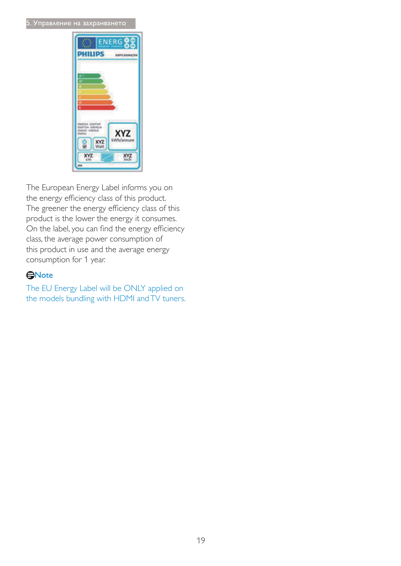#### 5. Управление на захранването



The European Energy Label informs you on the energy efficiency class of this product. The greener the energy efficiency class of this product is the lower the energy it consumes. On the label, you can find the energy efficiency class, the average power consumption of this product in use and the average energy consumption for 1 year.

#### **GNote**

The EU Energy Label will be ONLY applied on the models bundling with HDMI and TV tuners.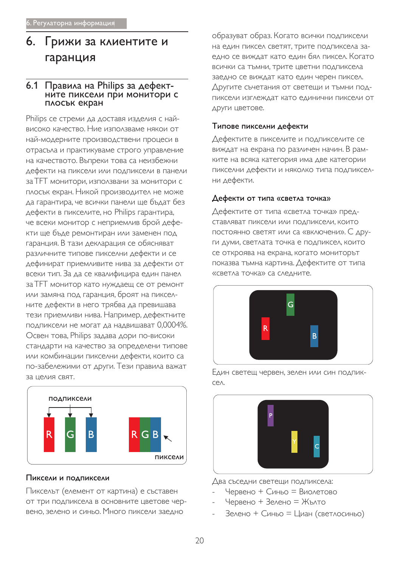# 6. Грижи за клиентите и гаранция

# 6.1 Правила на Philips за дефект-<br>Выстаните пиксели при монитори с плосък екран

Philips се стреми да доставя изделия с найвисоко качество. Ние използваме някои от най-модерните производствени процеси в отрасъла и практикуваме строго управление на качеството. Въпреки това са неизбежни дефекти на пиксели или подпиксели в панели за ТFT монитори, използвани за монитори с плосък екран. Никой производител не може да гарантира, че всички панели ще бъдат без дефекти в пикселите, но Philips гарантира, че всеки монитор с неприемлив брой дефекти ще бъде ремонтиран или заменен под гаранция. В тази декларация се обясняват различните типове пикселни дефекти и се дефинират приемливите нива за дефекти от всеки тип. За да се квалифицира един панел за ТЕТ монитор като нуждаещ се от ремонт или замяна под гаранция, броят на пикселните дефекти в него трябва да превишава тези приемливи нива. Например, дефектните подпиксели не могат да надвишават 0,0004%. Освен това, Philips задава дори по-високи стандарти на качество за определени типове или комбинации пикселни дефекти, които са по-забележими от други. Тези правила важат за целия свят.



#### Пиксели и подпиксели

Пикселът (елемент от картина) е съставен от три подпиксела в основните цветове червено, зелено и синьо. Много пиксели заедно

образуват образ. Когато всички подпиксели На един пиксел светят, трите подпиксела заедно се виждат като един бял пиксел. Когато всички са тъмни, трите цветни подпиксела заедно се виждат като един черен пиксел. Другите съчетания от светещи и тъмни подпиксели изглеждат като единични пиксели от други цветове.

#### Типове пикселни дефекти

Дефектите в пикселите и подпикселите се виждат на екрана по различен начин. В рамките на всяка категория има две категории пикселни дефекти и няколко типа подпикселни дефекти.

#### Дефекти от типа «светла точка»

Дефектите от типа «светла точка» пред-СТАВЛЯВАТ ПИКСЕЛИ ИЛИ ПОДПИКСЕЛИ, КОИТО постоянно светят или са «включени». С други думи, светлата точка е подпиксел, които се откроява на екрана, когато мониторът показва тъмна картина. Дефектите от типа «светла точка» са следните.



Един светещ червен, зелен или син подпикce<sub> $\wedge$ </sub>



Два съседни светещи подпиксела:

- Червено + Синьо = Виолетово
- Червено + Зелено = Жълто
- Зелено + Синьо = Циан (светлосиньо)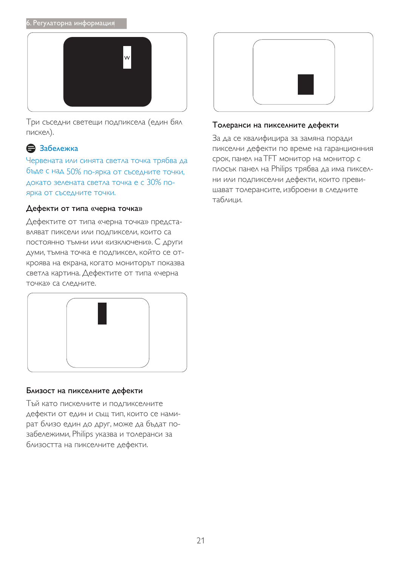#### 6. Регулаторна информация



Три съседни светещи подпиксела (един бял пискел).

### В Забележка

Червената или синята светла точка трябва да бъде с над 50% по-ярка от съседните точки, докато зелената светла точка е с 30% поярка от съседните точки.

#### Дефекти от типа «черна точка»

Дефектите от типа «черна точка» представляват пиксели или подпиксели, които са постоянно тъмни или «изключени». С други ДУМИ, ТЪМНА ТОЧКА Е ПОДПИКСЕЛ, КОЙТО СЕ ОТкроява на екрана, когато мониторът показва светла картина. Дефектите от типа «черна точка» са следните.



#### Близост на пикселните дефекти

Тъй като пискелните и подпикселните дефекти от един и същ тип, които се намират близо един до друг, може да бъдат позабележими, Philips указва и толеранси за близостта на пикселните дефекти.



#### Толеранси на пикселните дефекти

За да се квалифицира за замяна поради пикселни дефекти по време на гаранционния срок, панел на TFT монитор на монитор с плосък панел на Philips трябва да има пикселни или подпикселни дефекти, които превишават толерансите, изброени в следните таблици.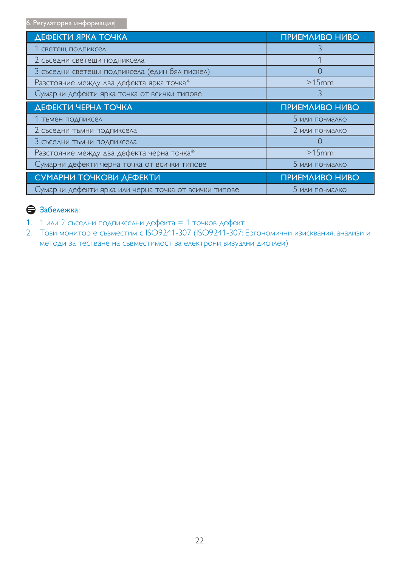6. Регулаторна информация

| ДЕФЕКТИ ЯРКА ТОЧКА                                    | ПРИЕМЛИВО НИВО        |
|-------------------------------------------------------|-----------------------|
| 1 светещ подпиксел                                    |                       |
| 2 съседни светещи подпиксела                          |                       |
| 3 съседни светещи подпиксела (един бял пискел)        | $\left( \right)$      |
| Разстояние между два дефекта ярка точка*              | $>15$ mm              |
| Сумарни дефекти ярка точка от всички типове           |                       |
| <b>ДЕФЕКТИ ЧЕРНА ТОЧКА</b>                            | ПРИЕМЛИВО НИВО        |
| 1 тъмен подпиксел                                     | 5 или по-малко        |
| 2 съседни тъмни подпиксела                            | 2 или по-малко        |
| 3 съседни тъмни подпиксела                            |                       |
| Разстояние между два дефекта черна точка*             | $>15$ mm              |
| Сумарни дефекти черна точка от всички типове          | 5 или по-малко        |
| СУМАРНИ ТОЧКОВИ ДЕФЕКТИ                               | <b>ПРИЕМЛИВО НИВО</b> |
| Сумарни дефекти ярка или черна точка от всички типове | 5 или по-малко        |

### **В** Забележка:

- 1. 1 или 2 съседни подпикселни дефекта = 1 точков дефект
- 2. Този монитор е съвместим с ISO9241-307 (ISO9241-307: Ергономични изисквания, анализи и методи за тестване на съвместимост за електрони визуални дисплеи)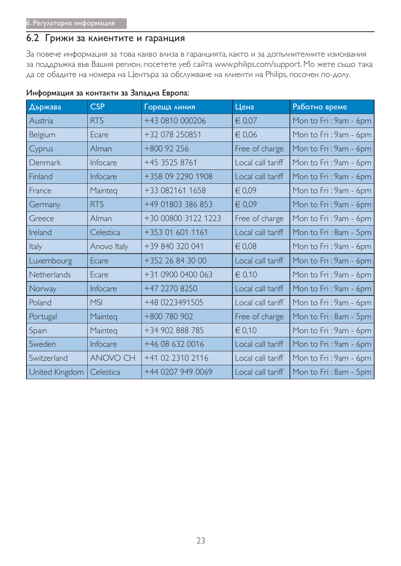### 6.2 Грижи за клиентите и гаранция

За повече информация за това какво влиза в гаранцията, както и за допълнителните изисквания за поддръжка във Вашия регион, посетете уеб сайта www.philips.com/support. Мо жете също така да се обадите на номера на Центъра за обслужване на клиенти на Philips, посочен по-долу.

| Държава        | <b>CSP</b>      | Гореща линия        | Цена              | Работно време         |
|----------------|-----------------|---------------------|-------------------|-----------------------|
| Austria        | <b>RTS</b>      | +43 0810 000206     | € 0,07            | Mon to Fri: 9am - 6pm |
| Belgium        | Ecare           | +32 078 250851      | € 0,06            | Mon to Fri: 9am - 6pm |
| Cyprus         | Alman           | $+800$ 92 256       | Free of charge    | Mon to Fri: 9am - 6pm |
| Denmark        | Infocare        | +45 3525 8761       | Local call tariff | Mon to Fri: 9am - 6pm |
| Finland        | Infocare        | +358 09 2290 1908   | Local call tariff | Mon to Fri: 9am - 6pm |
| France         | Mainteg         | +33 082161 1658     | € 0,09            | Mon to Fri: 9am - 6pm |
| Germany        | <b>RTS</b>      | +49 01803 386 853   | € 0,09            | Mon to Fri: 9am - 6pm |
| Greece         | Alman           | +30 00800 3122 1223 | Free of charge    | Mon to Fri: 9am - 6pm |
| Ireland        | Celestica       | +353 01 601 1161    | Local call tariff | Mon to Fri: 8am - 5pm |
| <b>Italy</b>   | Anovo Italy     | +39 840 320 041     | $\epsilon$ 0,08   | Mon to Fri: 9am - 6pm |
| Luxembourg     | Ecare           | +352 26 84 30 00    | Local call tariff | Mon to Fri: 9am - 6pm |
| Netherlands    | Ecare           | +31 0900 0400 063   | 60,10             | Mon to Fri: 9am - 6pm |
| Norway         | Infocare        | +47 2270 8250       | Local call tariff | Mon to Fri: 9am - 6pm |
| Poland         | <b>MSI</b>      | +48 0223491505      | Local call tariff | Mon to Fri: 9am - 6pm |
| Portugal       | Mainteg         | +800 780 902        | Free of charge    | Mon to Fri: 8am - 5pm |
| Spain          | Mainteg         | +34 902 888 785     | $\in 0.10$        | Mon to Fri: 9am - 6pm |
| Sweden         | Infocare        | +46 08 632 0016     | Local call tariff | Mon to Fri: 9am - 6pm |
| Switzerland    | <b>ANOVO CH</b> | +41 02 2310 2116    | Local call tariff | Mon to Fri: 9am - 6pm |
| United Kingdom | Celestica       | +44 0207 949 0069   | Local call tariff | Mon to Fri: 8am - 5pm |

#### Информация за контакти за Западна Европа: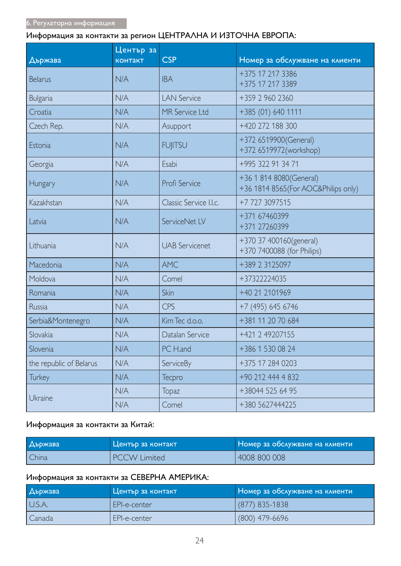### Информация за контакти за регион ЦЕНТРАЛНА И ИЗТОЧНА ЕВРОПА:

|                         | Център за      |                        |                                                                 |
|-------------------------|----------------|------------------------|-----------------------------------------------------------------|
| Държава                 | <b>КОНТАКТ</b> | <b>CSP</b>             | Номер за обслужване на клиенти                                  |
| <b>Belarus</b>          | N/A            | <b>IBA</b>             | +375 17 217 3386<br>+375 17 217 3389                            |
| <b>Bulgaria</b>         | N/A            | <b>LAN Service</b>     | +359 2 960 2360                                                 |
| Croatia                 | N/A            | MR Service Ltd         | +385 (01) 640 1111                                              |
| Czech Rep.              | N/A            | Asupport               | +420 272 188 300                                                |
| Estonia                 | N/A            | <b>FUJITSU</b>         | +372 6519900(General)<br>+372 6519972(workshop)                 |
| Georgia                 | N/A            | Esabi                  | +995 322 91 34 71                                               |
| Hungary                 | N/A            | Profi Service          | +36 1 814 8080(General)<br>+36 1814 8565 (For AOC&Philips only) |
| Kazakhstan              | N/A            | Classic Service I.I.c. | +7 727 3097515                                                  |
| Latvia                  | N/A            | ServiceNet LV          | +371 67460399<br>+371 27260399                                  |
| Lithuania               | N/A            | <b>UAB</b> Servicenet  | +370 37 400160(general)<br>+370 7400088 (for Philips)           |
| Macedonia               | N/A            | <b>AMC</b>             | +389 2 3125097                                                  |
| Moldova                 | N/A            | Comel                  | +37322224035                                                    |
| Romania                 | N/A            | Skin                   | +40 21 2101969                                                  |
| Russia                  | N/A            | <b>CPS</b>             | +7 (495) 645 6746                                               |
| Serbia&Montenegro       | N/A            | Kim Tec d.o.o.         | +381 11 20 70 684                                               |
| Slovakia                | N/A            | Datalan Service        | +421 2 49207155                                                 |
| Slovenia                | N/A            | PC H.and               | +386 1 530 08 24                                                |
| the republic of Belarus | N/A            | ServiceBy              | +375 17 284 0203                                                |
| <b>Turkey</b>           | N/A            | Tecpro                 | +90 212 444 4 832                                               |
|                         | N/A            | <b>Topaz</b>           | +38044 525 64 95                                                |
| Ukraine                 | N/A            | Comel                  | +380 5627444225                                                 |

#### Информация за контакти за Китай:

| <b>Държава</b> | Център за контакт   | Номер за обслужване на клиенти |
|----------------|---------------------|--------------------------------|
| China          | <b>PCCW Limited</b> | 4008 800 008                   |

### Информация за контакти за СЕВЕРНА АМЕРИКА:

| <b>Държава</b> | Център за контакт | Номер за обслужване на клиенти |
|----------------|-------------------|--------------------------------|
| U.S.A.         | EPI-e-center      | (877) 835-1838                 |
| Canada         | EPI-e-center      | $(800)$ 479-6696               |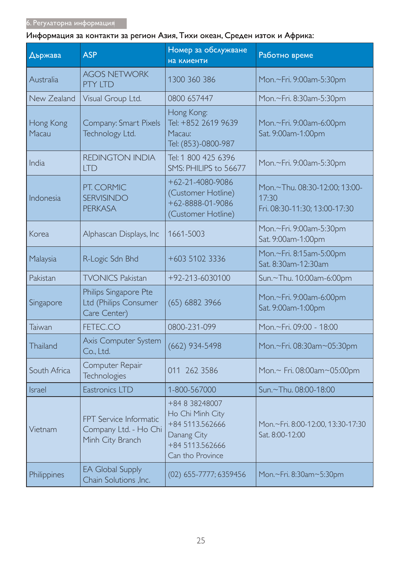### Информация за контакти за регион Азия, Тихи океан, Среден изток и Африка:

| Държава            | <b>ASP</b>                                                          | Номер за обслужване<br>на клиенти                                                                           | Работно време                                                           |
|--------------------|---------------------------------------------------------------------|-------------------------------------------------------------------------------------------------------------|-------------------------------------------------------------------------|
| Australia          | <b>AGOS NETWORK</b><br>PTY LTD                                      | 1300 360 386                                                                                                | Mon.~Fri. 9:00am-5:30pm                                                 |
| New Zealand        | Visual Group Ltd.                                                   | 0800 657447                                                                                                 | Mon.~Fri. 8:30am-5:30pm                                                 |
| Hong Kong<br>Macau | Company: Smart Pixels<br>Technology Ltd.                            | Hong Kong:<br>Tel: +852 2619 9639<br>Macau:<br>Tel: (853)-0800-987                                          | Mon.~Fri. 9:00am-6:00pm<br>Sat. 9:00am-1:00pm                           |
| India              | <b>REDINGTON INDIA</b><br><b>LTD</b>                                | Tel: 1 800 425 6396<br>SMS: PHILIPS to 56677                                                                | Mon.~Fri. 9:00am-5:30pm                                                 |
| Indonesia          | PT. CORMIC<br><b>SERVISINDO</b><br><b>PERKASA</b>                   | $+62 - 21 - 4080 - 9086$<br>(Customer Hotline)<br>+62-8888-01-9086<br>(Customer Hotline)                    | Mon.~Thu. 08:30-12:00; 13:00-<br>17:30<br>Fri. 08:30-11:30; 13:00-17:30 |
| Korea              | Alphascan Displays, Inc                                             | 1661-5003                                                                                                   | Mon.~Fri. 9:00am-5:30pm<br>Sat. 9:00am-1:00pm                           |
| Malaysia           | R-Logic Sdn Bhd                                                     | +603 5102 3336                                                                                              | Mon.~Fri. 8:15am-5:00pm<br>Sat. 8:30am-12:30am                          |
| Pakistan           | <b>TVONICS Pakistan</b>                                             | +92-213-6030100                                                                                             | Sun.~Thu. 10:00am-6:00pm                                                |
| Singapore          | Philips Singapore Pte<br>Ltd (Philips Consumer<br>Care Center)      | $(65)$ 6882 3966                                                                                            | Mon.~Fri. 9:00am-6:00pm<br>Sat. 9:00am-1:00pm                           |
| Taiwan             | FETEC.CO                                                            | 0800-231-099                                                                                                | Mon.~Fri. 09:00 - 18:00                                                 |
| -hailand           | Axis Computer System<br>Co., Ltd.                                   | $(662)$ 934-5498                                                                                            | Mon.~Fri. 08:30am~05:30pm                                               |
| South Africa       | Computer Repair<br><b>Technologies</b>                              | 011 262 3586                                                                                                | Mon.~ Fri. 08:00am~05:00pm                                              |
| Israel             | Eastronics LTD                                                      | 1-800-567000                                                                                                | Sun,~Thu, 08:00-18:00                                                   |
| Vietnam            | FPT Service Informatic<br>Company Ltd. - Ho Chi<br>Minh City Branch | +84 8 38248007<br>Ho Chi Minh City<br>+84 5113.562666<br>Danang City<br>+84 5113.562666<br>Can tho Province | Mon.~Fri. 8:00-12:00, 13:30-17:30<br>Sat. 8:00-12:00                    |
| Philippines        | <b>EA Global Supply</b><br>Chain Solutions , Inc.                   | (02) 655-7777; 6359456                                                                                      | Mon.~Fri. 8:30am~5:30pm                                                 |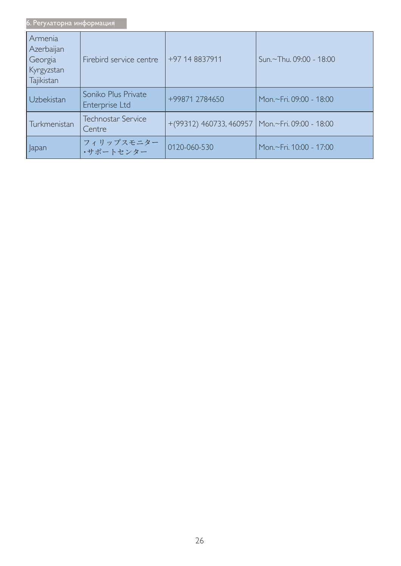| 6. Регулаторна информация                                    |                                       |                                                     |                         |
|--------------------------------------------------------------|---------------------------------------|-----------------------------------------------------|-------------------------|
| Armenia<br>Azerbaijan<br>Georgia<br>Kyrgyzstan<br>Tajikistan | Firebird service centre               | +97 14 8837911                                      | Sun.~Thu. 09:00 - 18:00 |
| Uzbekistan                                                   | Soniko Plus Private<br>Enterprise Ltd | +99871 2784650                                      | Mon.~Fri. 09:00 - 18:00 |
| Turkmenistan                                                 | <b>Technostar Service</b><br>Centre   | $+(99312)$ 460733, 460957   Mon.~Fri. 09:00 - 18:00 |                         |
| Japan                                                        | フィリップスモニター<br>・サポートセンター               | 0120-060-530                                        | Mon.~Fri, 10:00 - 17:00 |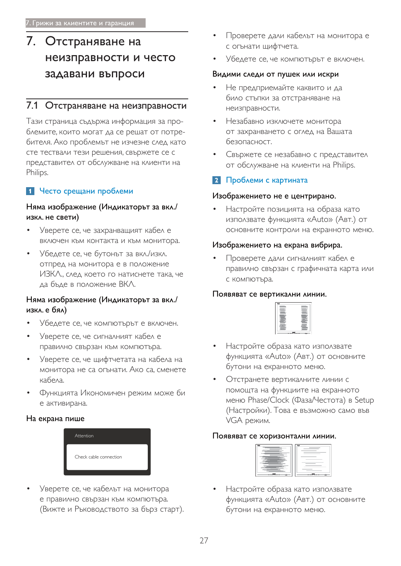# 7. Отстраняване на неизправности и често задавани въпроси

### 7.1 Отстраняване на неизправности

Тази страница съдържа информация за проблемите, които могат да се решат от потребителя. Ако проблемът не изчезне след като сте тествали тези решения, свържете се с представител от обслужване на клиенти на Philips.

### 1 Често срещани проблеми

#### Няма изображение (Индикаторът за вкл./ изкл. не свети)

- Уверете се, че захранващият кабел е включен към контакта и към монитора.
- Убедете се, че бутонът за вкл./изкл. отпред на монитора е в положение ИЗКЛ., след което го натиснете така, че да бъде в положение ВКЛ.

#### Няма изображение (Индикаторът за вкл./ изкл. е бял)

- Убедете се, че компютърът е включен.
- Уверете се, че сигналният кабел е правилно свързан към компютъра.
- Уверете се, че щифтчетата на кабела на монитора не са огънати. Ако са, сменете кабела
- Функцията Икономичен режим може би е активирана.

#### На екрана пише



Уверете се, че кабелът на монитора е правилно свързан към компютъра. (Вижте и Ръководството за бърз старт).

- Проверете дали кабельт на монитора е с огънати щифтчета.
- Убедете се, че компютърът е включен.

#### Видими следи от пушек или искри

- Не предприемайте каквито и да било стъпки за отстраняване на неизправности.
- Незабавно изключете монитора от захранването с оглед на Вашата безопасност.
- Свържете се незабавно с представител от обслужване на клиенти на Philips.

### 2 Проблеми с картината

#### Изображението не е центрирано.

Настройте позицията на образа като използвате функцията «Auto» (Авт.) от основните контроли на екранното меню.

#### Изображението на екрана вибрира.

Проверете дали сигналният кабел е правилно свързан с графичната карта или с компютъра.

#### Появяват се вертикални линии.



- Настройте образа като използвате функцията «Auto» (Авт.) от основните бутони на екранното меню.
- Отстранете вертикалните линии с помощта на функциите на екранното меню Phase/Clock (Фаза/Честота) в Setup (Настройки). Това е възможно само във VGA режим.

#### Появяват се хоризонтални линии.



Настройте образа като използвате функцията «Auto» (Авт.) от основните бутони на екранното меню.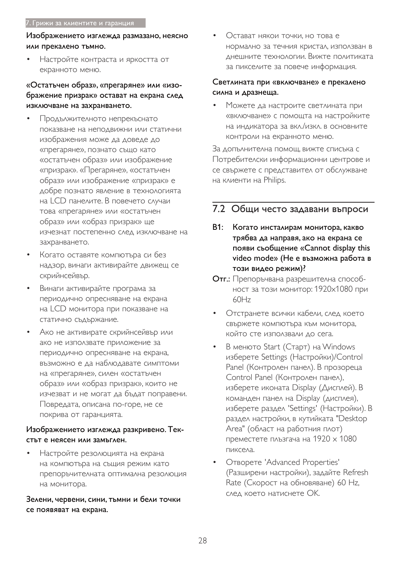#### 7. Грижи за клиентите и гаранция

#### Изображението изглежда размазано, неясно или прекалено тъмно.

Настройте контраста и яркостта от екранното меню.

### «Остатьчен образ», «прегаряне» или «изображение призрак» остават на екрана след изключване на захранването.

- Продължителното непрекъснато ПОКАЗВАНЕ НА НЕПОДВИЖНИ ИЛИ СТАТИЧНИ изображения може да доведе до «прегаряне», познато също като «остатъчен образ» или изображение «призрак». «Прегаряне», «остатъчен образ» или изображение «призрак» е добре познато явление в технологията на LCD панелите. В повечето случаи това «прегаряне» или «остатъчен образ» или «образ призрак» ще ИЗЧЕЗНАТ ПОСТЕПЕННО СЛЕД ИЗКЛЮЧВАНЕ НА захранването.
- Когато оставяте компютъра си без надзор, винаги активирайте движещ се скрийнсейвър.
- Винаги активирайте програма за периодично опресняване на екрана на LCD монитора при показване на статично съдържание.
- Ако не активирате скрийнсейвър или ако не използвате приложение за периодично опресняване на екрана, възможно е да наблюдавате симптоми на «прегаряне», силен «остатъчен образ» или «образ призрак», които не изчезват и не могат да бъдат поправени. Повредата, описана по-горе, не се покрива от гаранцията.

#### Изображението изглежда разкривено. Тек-СТЪТ Е НЕЯСЕН ИЛИ ЗАМЪГЛЕН.

Настройте резолюцията на екрана на компютъра на същия режим като препоръчителната оптимална резолюция на монитора.

#### Зелени, червени, сини, тъмни и бели точки се появяват на екрана.

Остават някои точки, но това е НОРМАЛНО ЗА ТЕЧНИЯ КРИСТАЛ, ИЗПОЛЗВАН В днешните технологии. Вижте политиката за пикселите за повече информация.

#### Светлината при «включване» е прекалено силна и дразнеща.

Можете да настроите светлината при «включване» с помощта на настройките на индикатора за вкл./изкл. в основните контроли на екранното меню.

За допълнителна помощ, вижте списъка с Потребителски информационни центрове и се свържете с представител от обслужване на клиенти на Philips.

### 7.2 Общи често задавани въпроси

- В1: Когато инсталирам монитора, какво трябва да направя, ако на екрана се появи съобщение «Cannot display this video mode» (Не е възможна работа в този видео режим)?
- Отг.: Препоръчвана разрешителна способност за този монитор: 1920х1080 при  $60Hz$
- Отстранете всички кабели, след което свържете компютъра към монитора, който сте използвали до сега.
- В менюто Start (Старт) на Windows изберете Settings (Настройки)/Control Panel (Контролен панел). В прозореца Control Panel (Контролен панел), изберете иконата Display (Дисплей). В команден панел на Display (дисплея), изберете раздел 'Settings' (Настройки). В раздел настройки, в кутийката "Desktop Аrea" (област на работния плот) преместете плъзгача на 1920  $\times$  1080 пиксела.
- OTBOPETE 'Advanced Properties' (Разширени настройки), задайте Refresh Rate (Скорост на обновяване) 60 Hz, след което натиснете ОК.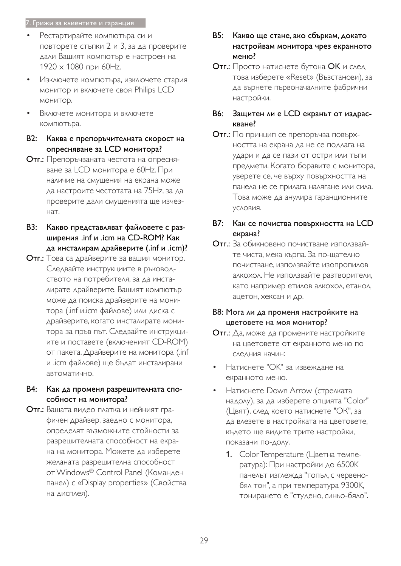#### 7. Грижи за клиентите и гаранция

- Рестартирайте компютъра си и повторете стъпки 2 и 3, за да проверите дали Вашият компютър е настроен на  $1920 \times 1080$  при 60Нг.
- Изключете компютъра, изключете стария монитор и включете своя Philips LCD монитор.
- Включете монитора и включете компютъра.
- В2: Каква е препоръчителната скорост на опресняване за LCD монитора?
- Отг.: Препоръчваната честота на опресняване за LCD монитора е 60Hz. При наличие на смущения на екрана може да настроите честотата на 75Hz, за да проверите дали смущенията ще изчез-HAT.
- ВЗ: Какво представляват файловете с разширения .inf и .icm на CD-ROM? Как да инсталирам драйверите (.inf и .icm)?
- Отг.: Това са драйверите за вашия монитор. Следвайте инструкциите в ръководството на потребителя, за да инсталирате драйверите. Вашият компютър може да поиска драйверите на монитора (.inf и.icm файлове) или диска с драйверите, когато инсталирате монитора за пръв път. Следвайте инструкциите и поставете (включеният CD-ROM) от пакета. Драйверите на монитора (.inf и .icm файлове) ще бъдат инсталирани автоматично.
- В4: Как да променя разрешителната способност на монитора?
- Отг.: Вашата видео платка и нейният графичен драйвер, заедно с монитора, определят възможните стойности за разрешителната способност на екрана на монитора. Можете да изберете желаната разрешителна способност от Windows® Control Panel (Команден панел) с «Display properties» (Свойства на дисплея).
- В5: Какво ще стане, ако сбъркам, докато настройвам монитора чрез екранното меню?
- Отг.: Просто натиснете бутона ОК и след това изберете «Reset» (Възстанови), за да върнете първоначалните фабрични настройки.

#### В6: Защитен ли е LCD екранът от издраскване?

- Отг.: По принцип се препоръчва повърхността на екрана да не се подлага на удари и да се пази от остри или тъпи предмети. Когато боравите с монитора, уверете се, че върху повърхността на панела не се прилага налягане или сила. Това може да анулира гаранционните УСЛОВИЯ.
- В7: Как се почиства повърхността на LCD екрана?
- Отг.: За обикновено почистване използвайте чиста, мека кърпа. За по-щателно ПОЧИСТВАНЕ, ИЗПОЛЗВАЙТЕ ИЗОПРОПИЛОВ алкохол. Не използвайте разтворители, КАТО НАПРИМЕР ЕТИЛОВ АЛКОХОЛ, ЕТАНОЛ, ацетон, хексан и др.

#### В8: Мога ли да променя настройките на цветовете на моя монитор?

- Отг.: Да, може да промените настройките на цветовете от екранното меню по следния начин:
- Натиснете "ОК" за извеждане на екранното меню.
- Натиснете Down Arrow (стрелката надолу), за да изберете опцията "Color" (Цвят), след което натиснете "ОК", за Да влезете в настройката на цветовете, където ще видите трите настройки, показани по-долу.
	- 1. Color Temperature (Цветна температура): При настройки до 6500К панелът изглежда "топъл, с червенобял тон", а при температура 9300К, тонирането е "студено, синьо-бяло".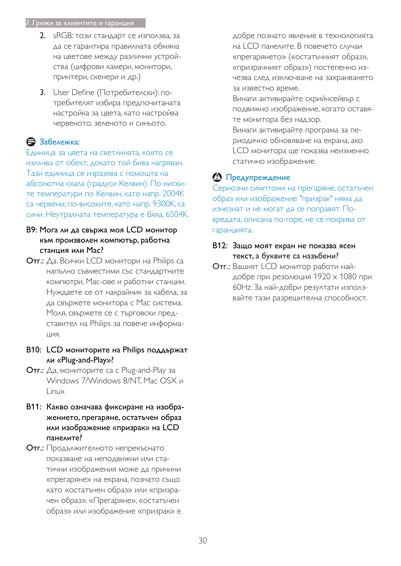#### 7. Грижи за клиентите и гаранция

- 2. sRGB: този стандарт се използва, за да се гарантира правилната обмяна на цветове между различни устройства (цифрови камери, монитори, принтери, скенери и др.)
- 3. User Define (Потребителски): потребителят избира предпочитаната настройка за цвета, като настройва червеното, зеленото и синьото.

### Э Забележка:

Единица за цвета на светлината, която се изльчва от обект, докато той бива нагряван. Тази единица се изразява с помощта на абсолютна скала (градуси Келвин). По ниските температури по Келвин, като напр. 2004К са червени; по-високите, като напр. 9300К, са сини. Неутралната температура е бяла, 6504К.

- В9: Мога ли да свържа моя LCD монитор към произволен компютър, работна станция или Мас?
- Отг.: Да. Всички LCD монитори на Philips са напълно съвместими със стандартните компютри, Мас-ове и работни станции. Нуждаете се от накрайник за кабела, за да свържете монитора с Мас система. Моля, свържете се с търговски представител на Philips за повече информа-ЦИЯ.
- В10: LCD мониторите на Philips поддържат ли «Plug-and-Play»?
- **Отг.:** Да, мониторите са с Plug-and-Play за Windows 7/Windows 8/NT. Mac OSX и Linux
- В11: Какво означава фиксиране на изображението, прегаряне, остатьчен образ или изображение «призрак» на LCD панелите?
- Отг.: Продължителното непрекъснато показване на неподвижни или статични изображения може да причини «прегаряне» на екрана, познато също като «остатъчен образ» или «призрачен образ». «Прегаряне», «остатъчен образ» или изображение «призрак» е

добре познато явление в технологията на LCD панелите. В повечето случаи «прегарянето» («остатъчният образ», «призрачният образ») постепенно изчезва след изключване на захранването за известно време.

Винаги активирайте скрийнсейвър с подвижно изображение, когато оставяте монитора без надзор.

Винаги активирайте програма за периодично обновяване на екрана, ако LCD монитора ще показва неизменно статично изображение.

### • Предупреждение

Сериозни симптоми на прегаряне, остатъчен образ или изображение "призрак" няма да изчезнат и не могат да се поправят. Повредата, описана по-горе, не се покрива от гаранцията.

#### В12: Защо моят екран не показва ясен текст, а буквите са назъбени?

Отг.: Вашият LCD монитор работи найдобре при резолюция 1920 х 1080 при 60Hz. За най-добри резултати използвайте тази разрешителна способност.